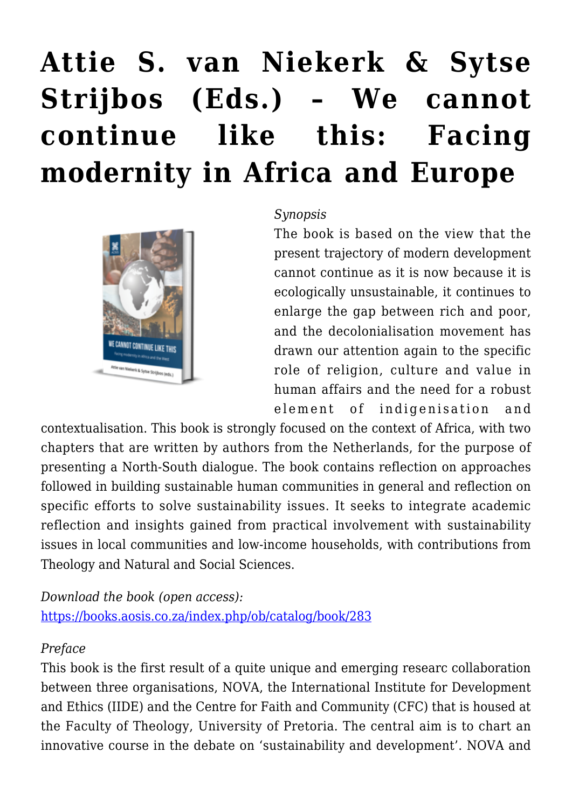# **[Attie S. van Niekerk & Sytse](https://rozenbergquarterly.com/attie-s-van-niekerk-sytse-strijbos-eds-we-cannot-continue-like-this-facing-modernity-in-africa-and-europe/) [Strijbos \(Eds.\) – We cannot](https://rozenbergquarterly.com/attie-s-van-niekerk-sytse-strijbos-eds-we-cannot-continue-like-this-facing-modernity-in-africa-and-europe/) [continue like this: Facing](https://rozenbergquarterly.com/attie-s-van-niekerk-sytse-strijbos-eds-we-cannot-continue-like-this-facing-modernity-in-africa-and-europe/) [modernity in Africa and Europe](https://rozenbergquarterly.com/attie-s-van-niekerk-sytse-strijbos-eds-we-cannot-continue-like-this-facing-modernity-in-africa-and-europe/)**



#### *Synopsis*

The book is based on the view that the present trajectory of modern development cannot continue as it is now because it is ecologically unsustainable, it continues to enlarge the gap between rich and poor, and the decolonialisation movement has drawn our attention again to the specific role of religion, culture and value in human affairs and the need for a robust element of indigenisation and

contextualisation. This book is strongly focused on the context of Africa, with two chapters that are written by authors from the Netherlands, for the purpose of presenting a North-South dialogue. The book contains reflection on approaches followed in building sustainable human communities in general and reflection on specific efforts to solve sustainability issues. It seeks to integrate academic reflection and insights gained from practical involvement with sustainability issues in local communities and low-income households, with contributions from Theology and Natural and Social Sciences.

*Download the book (open access):* <https://books.aosis.co.za/index.php/ob/catalog/book/283>

## *Preface*

This book is the first result of a quite unique and emerging researc collaboration between three organisations, NOVA, the International Institute for Development and Ethics (IIDE) and the Centre for Faith and Community (CFC) that is housed at the Faculty of Theology, University of Pretoria. The central aim is to chart an innovative course in the debate on 'sustainability and development'. NOVA and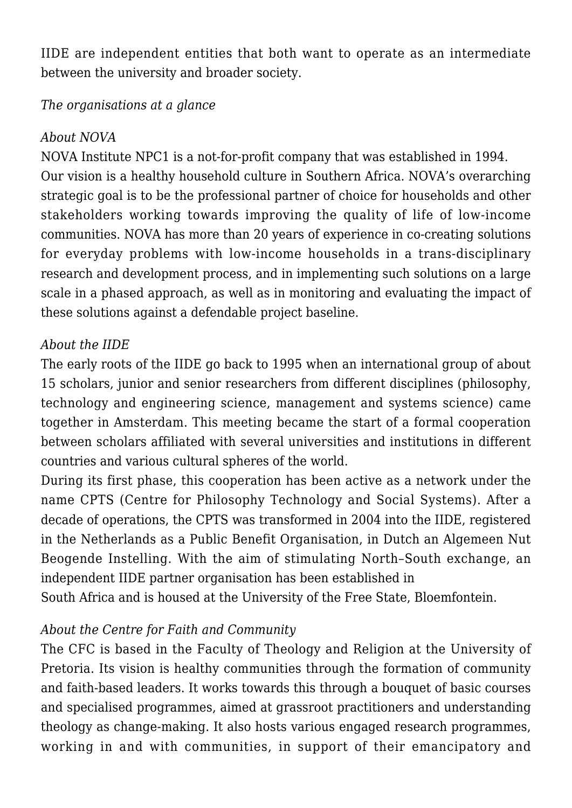IIDE are independent entities that both want to operate as an intermediate between the university and broader society.

#### *The organisations at a glance*

#### *About NOVA*

NOVA Institute NPC1 is a not-for-profit company that was established in 1994. Our vision is a healthy household culture in Southern Africa. NOVA's overarching strategic goal is to be the professional partner of choice for households and other stakeholders working towards improving the quality of life of low-income communities. NOVA has more than 20 years of experience in co-creating solutions for everyday problems with low-income households in a trans-disciplinary research and development process, and in implementing such solutions on a large scale in a phased approach, as well as in monitoring and evaluating the impact of these solutions against a defendable project baseline.

## *About the IIDE*

The early roots of the IIDE go back to 1995 when an international group of about 15 scholars, junior and senior researchers from different disciplines (philosophy, technology and engineering science, management and systems science) came together in Amsterdam. This meeting became the start of a formal cooperation between scholars affiliated with several universities and institutions in different countries and various cultural spheres of the world.

During its first phase, this cooperation has been active as a network under the name CPTS (Centre for Philosophy Technology and Social Systems). After a decade of operations, the CPTS was transformed in 2004 into the IIDE, registered in the Netherlands as a Public Benefit Organisation, in Dutch an Algemeen Nut Beogende Instelling. With the aim of stimulating North–South exchange, an independent IIDE partner organisation has been established in

South Africa and is housed at the University of the Free State, Bloemfontein.

## *About the Centre for Faith and Community*

The CFC is based in the Faculty of Theology and Religion at the University of Pretoria. Its vision is healthy communities through the formation of community and faith-based leaders. It works towards this through a bouquet of basic courses and specialised programmes, aimed at grassroot practitioners and understanding theology as change-making. It also hosts various engaged research programmes, working in and with communities, in support of their emancipatory and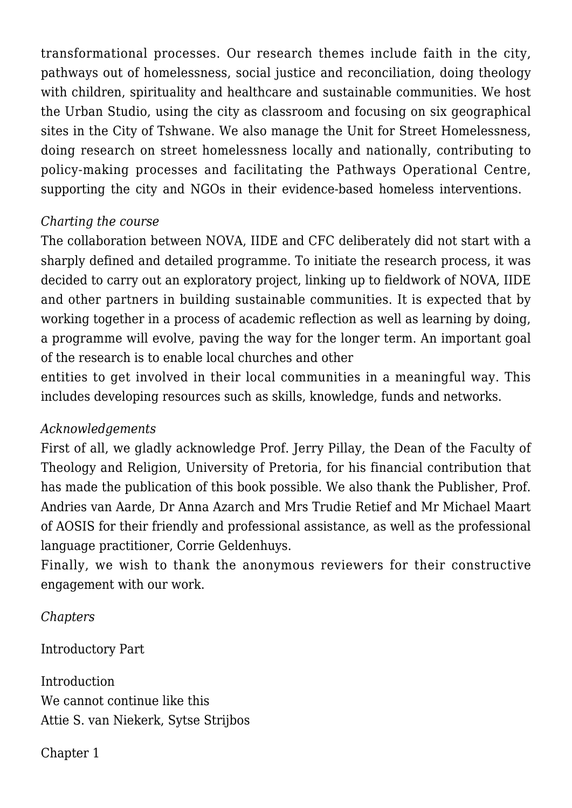transformational processes. Our research themes include faith in the city, pathways out of homelessness, social justice and reconciliation, doing theology with children, spirituality and healthcare and sustainable communities. We host the Urban Studio, using the city as classroom and focusing on six geographical sites in the City of Tshwane. We also manage the Unit for Street Homelessness, doing research on street homelessness locally and nationally, contributing to policy-making processes and facilitating the Pathways Operational Centre, supporting the city and NGOs in their evidence-based homeless interventions.

#### *Charting the course*

The collaboration between NOVA, IIDE and CFC deliberately did not start with a sharply defined and detailed programme. To initiate the research process, it was decided to carry out an exploratory project, linking up to fieldwork of NOVA, IIDE and other partners in building sustainable communities. It is expected that by working together in a process of academic reflection as well as learning by doing, a programme will evolve, paving the way for the longer term. An important goal of the research is to enable local churches and other

entities to get involved in their local communities in a meaningful way. This includes developing resources such as skills, knowledge, funds and networks.

#### *Acknowledgements*

First of all, we gladly acknowledge Prof. Jerry Pillay, the Dean of the Faculty of Theology and Religion, University of Pretoria, for his financial contribution that has made the publication of this book possible. We also thank the Publisher, Prof. Andries van Aarde, Dr Anna Azarch and Mrs Trudie Retief and Mr Michael Maart of AOSIS for their friendly and professional assistance, as well as the professional language practitioner, Corrie Geldenhuys.

Finally, we wish to thank the anonymous reviewers for their constructive engagement with our work.

*Chapters*

Introductory Part

**Introduction** We cannot continue like this Attie S. van Niekerk, Sytse Strijbos

Chapter 1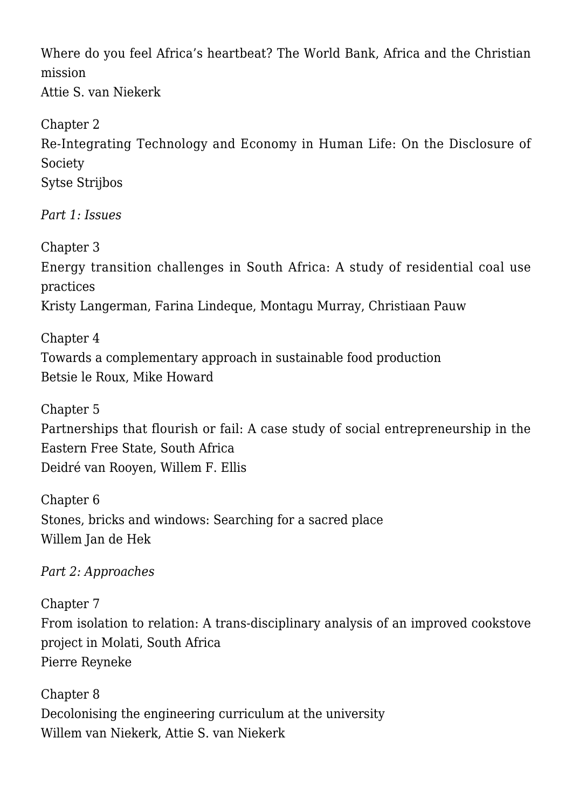Where do you feel Africa's heartbeat? The World Bank, Africa and the Christian mission Attie S. van Niekerk

Chapter 2 Re-Integrating Technology and Economy in Human Life: On the Disclosure of Society Sytse Strijbos

*Part 1: Issues*

Chapter 3 Energy transition challenges in South Africa: A study of residential coal use practices Kristy Langerman, Farina Lindeque, Montagu Murray, Christiaan Pauw

Chapter 4 Towards a complementary approach in sustainable food production Betsie le Roux, Mike Howard

Chapter 5 Partnerships that flourish or fail: A case study of social entrepreneurship in the Eastern Free State, South Africa Deidré van Rooyen, Willem F. Ellis

Chapter 6 Stones, bricks and windows: Searching for a sacred place Willem Jan de Hek

*Part 2: Approaches*

Chapter 7 From isolation to relation: A trans-disciplinary analysis of an improved cookstove project in Molati, South Africa Pierre Reyneke

Chapter 8 Decolonising the engineering curriculum at the university Willem van Niekerk, Attie S. van Niekerk